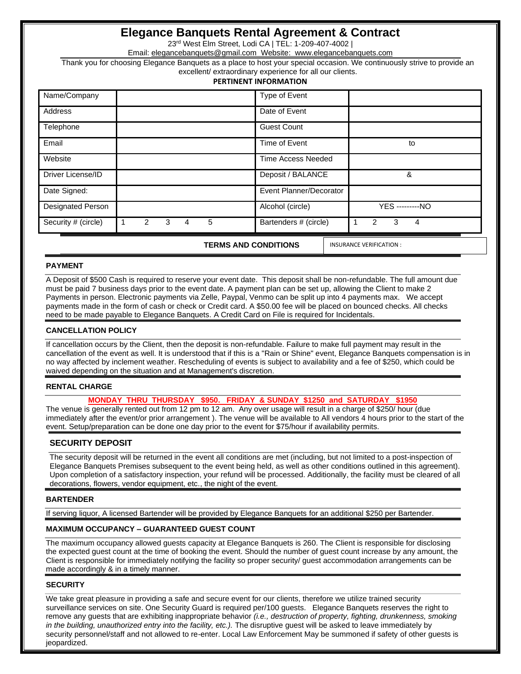# **Elegance Banquets Rental Agreement & Contract**

23rd West Elm Street, Lodi CA | TEL: 1-209-407-4002 |

Email: [elegancebanquets@gmail.com](mailto:elegancebanquets@gmail.com) Website: www.elegancebanquets.com

Thank you for choosing Elegance Banquets as a place to host your special occasion. We continuously strive to provide an excellent/ extraordinary experience for all our clients.

#### **PERTINENT INFORMATION**

| <b>Designated Person</b> |  |  | Alcohol (circle)        | <b>YES</b> ---------NO |
|--------------------------|--|--|-------------------------|------------------------|
| Date Signed:             |  |  | Event Planner/Decorator |                        |
| Driver License/ID        |  |  | Deposit / BALANCE       | &                      |
| Website                  |  |  | Time Access Needed      |                        |
| Email                    |  |  | Time of Event           | to                     |
| Telephone                |  |  | <b>Guest Count</b>      |                        |
| Address                  |  |  | Date of Event           |                        |
| Name/Company             |  |  | Type of Event           |                        |

 **TERMS AND CONDITIONS** 

INSURANCE VERIFICATION :

## **PAYMENT**

A Deposit of \$500 Cash is required to reserve your event date. This deposit shall be non-refundable. The full amount due must be paid 7 business days prior to the event date. A payment plan can be set up, allowing the Client to make 2 Payments in person. Electronic payments via Zelle, Paypal, Venmo can be split up into 4 payments max. We accept payments made in the form of cash or check or Credit card. A \$50.00 fee will be placed on bounced checks. All checks need to be made payable to Elegance Banquets. A Credit Card on File is required for Incidentals.

### **CANCELLATION POLICY**

If cancellation occurs by the Client, then the deposit is non-refundable. Failure to make full payment may result in the cancellation of the event as well. It is understood that if this is a "Rain or Shine" event, Elegance Banquets compensation is in no way affected by inclement weather. Rescheduling of events is subject to availability and a fee of \$250, which could be waived depending on the situation and at Management's discretion.

#### **RENTAL CHARGE**

## **MONDAY THRU THURSDAY \$950. FRIDAY & SUNDAY \$1250 and SATURDAY \$1950**

The venue is generally rented out from 12 pm to 12 am. Any over usage will result in a charge of \$250/ hour (due immediately after the event/or prior arrangement ). The venue will be available to All vendors 4 hours prior to the start of the event. Setup/preparation can be done one day prior to the event for \$75/hour if availability permits.

## **SECURITY DEPOSIT**

The security deposit will be returned in the event all conditions are met (including, but not limited to a post-inspection of Elegance Banquets Premises subsequent to the event being held, as well as other conditions outlined in this agreement). Upon completion of a satisfactory inspection, your refund will be processed. Additionally, the facility must be cleared of all decorations, flowers, vendor equipment, etc., the night of the event.

#### **BARTENDER**

If serving liquor, A licensed Bartender will be provided by Elegance Banquets for an additional \$250 per Bartender.

## **MAXIMUM OCCUPANCY – GUARANTEED GUEST COUNT**

The maximum occupancy allowed guests capacity at Elegance Banquets is 260. The Client is responsible for disclosing the expected guest count at the time of booking the event. Should the number of guest count increase by any amount, the Client is responsible for immediately notifying the facility so proper security/ guest accommodation arrangements can be made accordingly & in a timely manner.

### **SECURITY**

We take great pleasure in providing a safe and secure event for our clients, therefore we utilize trained security surveillance services on site. One Security Guard is required per/100 guests. Elegance Banquets reserves the right to remove any guests that are exhibiting inappropriate behavior *(i.e., destruction of property, fighting, drunkenness, smoking in the building, unauthorized entry into the facility, etc.).* The disruptive guest will be asked to leave immediately by security personnel/staff and not allowed to re-enter. Local Law Enforcement May be summoned if safety of other guests is jeopardized.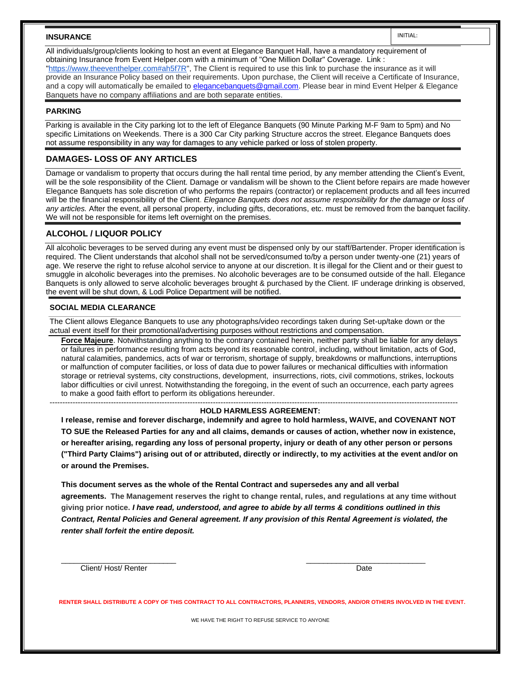#### **INSURANCE**

INITIAL:

All individuals/group/clients looking to host an event at Elegance Banquet Hall, have a mandatory requirement of obtaining Insurance from Event Helper.com with a minimum of "One Million Dollar" Coverage. Link : ["https://www.theeventhelper.com#ah5f7R"](https://www.theeventhelper.com/#ah5f7R), The Client is required to use this link to purchase the insurance as it will provide an Insurance Policy based on their requirements. Upon purchase, the Client will receive a Certificate of Insurance, and a copy will automatically be emailed to [elegancebanquets@gmail.com.](mailto:elegancebanquets@gmail.com) Please bear in mind Event Helper & Elegance Banquets have no company affiliations and are both separate entities.

#### **PARKING**

Parking is available in the City parking lot to the left of Elegance Banquets (90 Minute Parking M-F 9am to 5pm) and No specific Limitations on Weekends. There is a 300 Car City parking Structure accros the street. Elegance Banquets does not assume responsibility in any way for damages to any vehicle parked or loss of stolen property.

## **DAMAGES- LOSS OF ANY ARTICLES**

Damage or vandalism to property that occurs during the hall rental time period, by any member attending the Client's Event, will be the sole responsibility of the Client. Damage or vandalism will be shown to the Client before repairs are made however Elegance Banquets has sole discretion of who performs the repairs (contractor) or replacement products and all fees incurred will be the financial responsibility of the Client. *Elegance Banquets does not assume responsibility for the damage or loss of any articles.* After the event, all personal property, including gifts, decorations, etc. must be removed from the banquet facility. We will not be responsible for items left overnight on the premises.

### **ALCOHOL / LIQUOR POLICY**

All alcoholic beverages to be served during any event must be dispensed only by our staff/Bartender. Proper identification is required. The Client understands that alcohol shall not be served/consumed to/by a person under twenty-one (21) years of age. We reserve the right to refuse alcohol service to anyone at our discretion. It is illegal for the Client and or their guest to smuggle in alcoholic beverages into the premises. No alcoholic beverages are to be consumed outside of the hall. Elegance Banquets is only allowed to serve alcoholic beverages brought & purchased by the Client. IF underage drinking is observed, the event will be shut down, & Lodi Police Department will be notified.

#### **SOCIAL MEDIA CLEARANCE**

The Client allows Elegance Banquets to use any photographs/video recordings taken during Set-up/take down or the actual event itself for their promotional/advertising purposes without restrictions and compensation.

**[Force Majeure](https://www.lawinsider.com/clause/force-majeure)**. Notwithstanding anything to the contrary contained herein, neither party shall be liable for any delays or failures in performance resulting from acts beyond its reasonable control, including, without limitation, acts of God, natural calamities, pandemics, acts of war or terrorism, shortage of supply, breakdowns or malfunctions, interruptions or malfunction of computer facilities, or loss of data due to power failures or mechanical difficulties with information storage or retrieval systems, city constructions, development, insurrections, riots, civil commotions, strikes, lockouts labor difficulties or civil unrest. Notwithstanding the foregoing, in the event of such an occurrence, each party agrees to make a good faith effort to perform its obligations hereunder.

#### ---------------------------------------------------------------------------------------------------------------------------------------------------------------- **HOLD HARMLESS AGREEMENT:**

**I release, remise and forever discharge, indemnify and agree to hold harmless, WAIVE, and COVENANT NOT TO SUE the Released Parties for any and all claims, demands or causes of action, whether now in existence, or hereafter arising, regarding any loss of personal property, injury or death of any other person or persons ("Third Party Claims") arising out of or attributed, directly or indirectly, to my activities at the event and/or on or around the Premises.** 

**This document serves as the whole of the Rental Contract and supersedes any and all verbal agreements. The Management reserves the right to change rental, rules, and regulations at any time without giving prior notice.** *I have read, understood, and agree to abide by all terms & conditions outlined in this Contract, Rental Policies and General agreement. If any provision of this Rental Agreement is violated, the renter shall forfeit the entire deposit.* 

 $\overline{\phantom{a}}$  , and the contribution of the contribution of the contribution of the contribution of the contribution of the contribution of the contribution of the contribution of the contribution of the contribution of the

Client/ Host/ Renter Date

**RENTER SHALL DISTRIBUTE A COPY OF THIS CONTRACT TO ALL CONTRACTORS, PLANNERS, VENDORS, AND/OR OTHERS INVOLVED IN THE EVENT.**

WE HAVE THE RIGHT TO REFUSE SERVICE TO ANYONE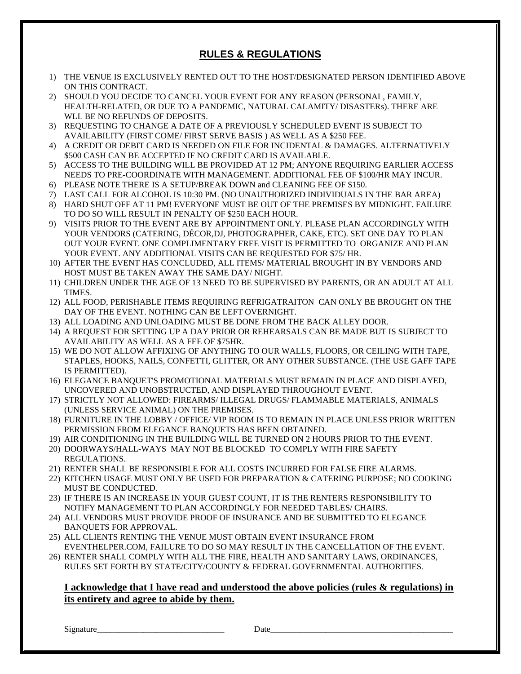# **RULES & REGULATIONS**

- 1) THE VENUE IS EXCLUSIVELY RENTED OUT TO THE HOST/DESIGNATED PERSON IDENTIFIED ABOVE ON THIS CONTRACT.
- 2) SHOULD YOU DECIDE TO CANCEL YOUR EVENT FOR ANY REASON (PERSONAL, FAMILY, HEALTH-RELATED, OR DUE TO A PANDEMIC, NATURAL CALAMITY/ DISASTERs). THERE ARE WLL BE NO REFUNDS OF DEPOSITS.
- 3) REQUESTING TO CHANGE A DATE OF A PREVIOUSLY SCHEDULED EVENT IS SUBJECT TO AVAILABILITY (FIRST COME/ FIRST SERVE BASIS ) AS WELL AS A \$250 FEE.
- 4) A CREDIT OR DEBIT CARD IS NEEDED ON FILE FOR INCIDENTAL & DAMAGES. ALTERNATIVELY \$500 CASH CAN BE ACCEPTED IF NO CREDIT CARD IS AVAILABLE.
- 5) ACCESS TO THE BUILDING WILL BE PROVIDED AT 12 PM; ANYONE REQUIRING EARLIER ACCESS NEEDS TO PRE-COORDINATE WITH MANAGEMENT. ADDITIONAL FEE OF \$100/HR MAY INCUR.
- 6) PLEASE NOTE THERE IS A SETUP/BREAK DOWN and CLEANING FEE OF \$150.
- 7) LAST CALL FOR ALCOHOL IS 10:30 PM. (NO UNAUTHORIZED INDIVIDUALS IN THE BAR AREA)
- 8) HARD SHUT OFF AT 11 PM! EVERYONE MUST BE OUT OF THE PREMISES BY MIDNIGHT. FAILURE TO DO SO WILL RESULT IN PENALTY OF \$250 EACH HOUR.
- 9) VISITS PRIOR TO THE EVENT ARE BY APPOINTMENT ONLY. PLEASE PLAN ACCORDINGLY WITH YOUR VENDORS (CATERING, DÉCOR,DJ, PHOTOGRAPHER, CAKE, ETC). SET ONE DAY TO PLAN OUT YOUR EVENT. ONE COMPLIMENTARY FREE VISIT IS PERMITTED TO ORGANIZE AND PLAN YOUR EVENT. ANY ADDITIONAL VISITS CAN BE REQUESTED FOR \$75/ HR.
- 10) AFTER THE EVENT HAS CONCLUDED, ALL ITEMS/ MATERIAL BROUGHT IN BY VENDORS AND HOST MUST BE TAKEN AWAY THE SAME DAY/ NIGHT.
- 11) CHILDREN UNDER THE AGE OF 13 NEED TO BE SUPERVISED BY PARENTS, OR AN ADULT AT ALL TIMES.
- 12) ALL FOOD, PERISHABLE ITEMS REQUIRING REFRIGATRAITON CAN ONLY BE BROUGHT ON THE DAY OF THE EVENT. NOTHING CAN BE LEFT OVERNIGHT.
- 13) ALL LOADING AND UNLOADING MUST BE DONE FROM THE BACK ALLEY DOOR.
- 14) A REQUEST FOR SETTING UP A DAY PRIOR OR REHEARSALS CAN BE MADE BUT IS SUBJECT TO AVAILABILITY AS WELL AS A FEE OF \$75HR.
- 15) WE DO NOT ALLOW AFFIXING OF ANYTHING TO OUR WALLS, FLOORS, OR CEILING WITH TAPE, STAPLES, HOOKS, NAILS, CONFETTI, GLITTER, OR ANY OTHER SUBSTANCE. (THE USE GAFF TAPE IS PERMITTED).
- 16) ELEGANCE BANQUET'S PROMOTIONAL MATERIALS MUST REMAIN IN PLACE AND DISPLAYED, UNCOVERED AND UNOBSTRUCTED, AND DISPLAYED THROUGHOUT EVENT.
- 17) STRICTLY NOT ALLOWED: FIREARMS/ ILLEGAL DRUGS/ FLAMMABLE MATERIALS, ANIMALS (UNLESS SERVICE ANIMAL) ON THE PREMISES.
- 18) FURNITURE IN THE LOBBY / OFFICE/ VIP ROOM IS TO REMAIN IN PLACE UNLESS PRIOR WRITTEN PERMISSION FROM ELEGANCE BANQUETS HAS BEEN OBTAINED.
- 19) AIR CONDITIONING IN THE BUILDING WILL BE TURNED ON 2 HOURS PRIOR TO THE EVENT.
- 20) DOORWAYS/HALL-WAYS MAY NOT BE BLOCKED TO COMPLY WITH FIRE SAFETY REGULATIONS.
- 21) RENTER SHALL BE RESPONSIBLE FOR ALL COSTS INCURRED FOR FALSE FIRE ALARMS.
- 22) KITCHEN USAGE MUST ONLY BE USED FOR PREPARATION & CATERING PURPOSE; NO COOKING MUST BE CONDUCTED.
- 23) IF THERE IS AN INCREASE IN YOUR GUEST COUNT, IT IS THE RENTERS RESPONSIBILITY TO NOTIFY MANAGEMENT TO PLAN ACCORDINGLY FOR NEEDED TABLES/ CHAIRS.
- 24) ALL VENDORS MUST PROVIDE PROOF OF INSURANCE AND BE SUBMITTED TO ELEGANCE BANQUETS FOR APPROVAL.
- 25) ALL CLIENTS RENTING THE VENUE MUST OBTAIN EVENT INSURANCE FROM EVENTHELPER.COM, FAILURE TO DO SO MAY RESULT IN THE CANCELLATION OF THE EVENT.
- 26) RENTER SHALL COMPLY WITH ALL THE FIRE, HEALTH AND SANITARY LAWS, ORDINANCES, RULES SET FORTH BY STATE/CITY/COUNTY & FEDERAL GOVERNMENTAL AUTHORITIES.

## **I acknowledge that I have read and understood the above policies (rules & regulations) in its entirety and agree to abide by them.**

Signature\_\_\_\_\_\_\_\_\_\_\_\_\_\_\_\_\_\_\_\_\_\_\_\_\_\_\_\_\_\_ Date\_\_\_\_\_\_\_\_\_\_\_\_\_\_\_\_\_\_\_\_\_\_\_\_\_\_\_\_\_\_\_\_\_\_\_\_\_\_\_\_\_\_\_